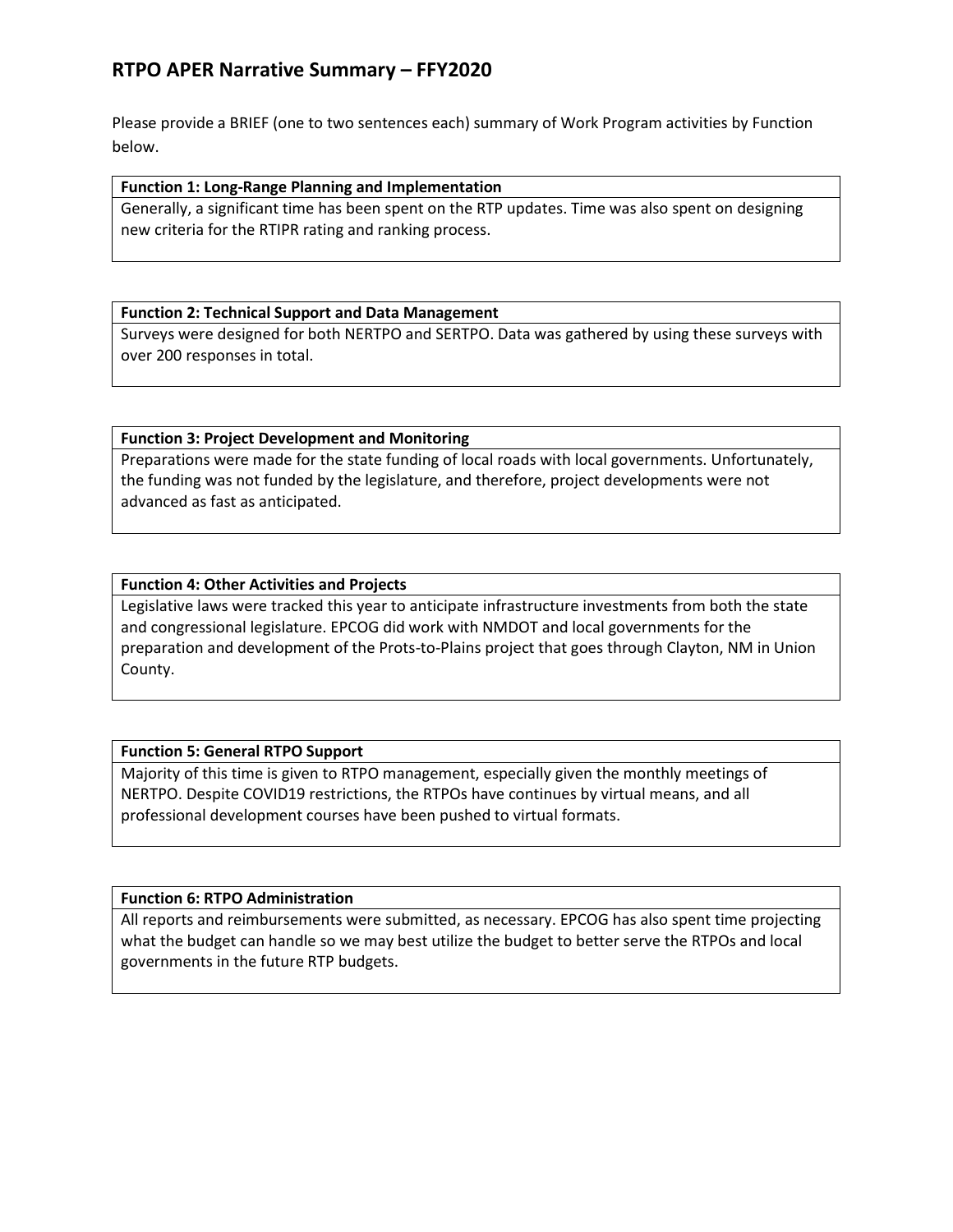# **RTPO APER Narrative Summary – FFY2020**

Please provide a BRIEF (one to two sentences each) summary of Work Program activities by Function below.

#### **Function 1: Long-Range Planning and Implementation**

Generally, a significant time has been spent on the RTP updates. Time was also spent on designing new criteria for the RTIPR rating and ranking process.

#### **Function 2: Technical Support and Data Management**

Surveys were designed for both NERTPO and SERTPO. Data was gathered by using these surveys with over 200 responses in total.

### **Function 3: Project Development and Monitoring**

Preparations were made for the state funding of local roads with local governments. Unfortunately, the funding was not funded by the legislature, and therefore, project developments were not advanced as fast as anticipated.

### **Function 4: Other Activities and Projects**

Legislative laws were tracked this year to anticipate infrastructure investments from both the state and congressional legislature. EPCOG did work with NMDOT and local governments for the preparation and development of the Prots-to-Plains project that goes through Clayton, NM in Union County.

### **Function 5: General RTPO Support**

Majority of this time is given to RTPO management, especially given the monthly meetings of NERTPO. Despite COVID19 restrictions, the RTPOs have continues by virtual means, and all professional development courses have been pushed to virtual formats.

### **Function 6: RTPO Administration**

All reports and reimbursements were submitted, as necessary. EPCOG has also spent time projecting what the budget can handle so we may best utilize the budget to better serve the RTPOs and local governments in the future RTP budgets.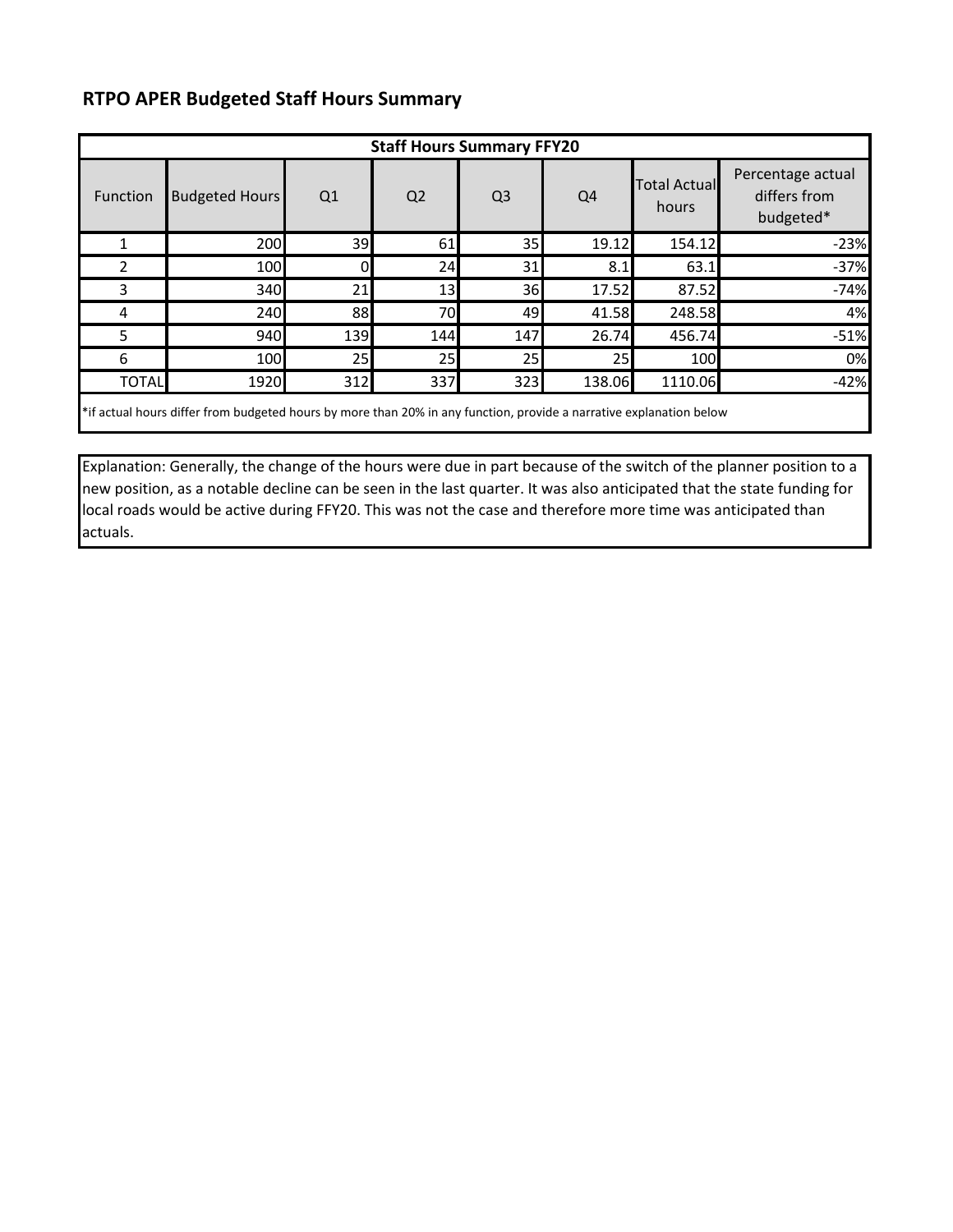# **RTPO APER Budgeted Staff Hours Summary**

| <b>Staff Hours Summary FFY20</b>                                                                                    |                       |     |                |                |                |                              |                                                |  |  |  |  |
|---------------------------------------------------------------------------------------------------------------------|-----------------------|-----|----------------|----------------|----------------|------------------------------|------------------------------------------------|--|--|--|--|
| Function                                                                                                            | <b>Budgeted Hours</b> | Q1  | Q <sub>2</sub> | Q <sub>3</sub> | Q <sub>4</sub> | <b>Total Actual</b><br>hours | Percentage actual<br>differs from<br>budgeted* |  |  |  |  |
|                                                                                                                     | 200                   | 39  | 61             | 35             | 19.12          | 154.12                       | $-23%$                                         |  |  |  |  |
| 2                                                                                                                   | 100                   |     | 24             | 31             | 8.1            | 63.1                         | $-37%$                                         |  |  |  |  |
| 3                                                                                                                   | 340                   | 21  | 13             | 36             | 17.52          | 87.52                        | $-74%$                                         |  |  |  |  |
| 4                                                                                                                   | 240                   | 88  | 70             | 49             | 41.58          | 248.58                       | 4%                                             |  |  |  |  |
| 5                                                                                                                   | 940                   | 139 | 144            | 147            | 26.74          | 456.74                       | $-51%$                                         |  |  |  |  |
| 6                                                                                                                   | 100                   | 25  | 25             | 25             | 25             | 100                          | 0%                                             |  |  |  |  |
| <b>TOTAL</b>                                                                                                        | 1920                  | 312 | 337            | 323            | 138.06         | 1110.06                      | $-42%$                                         |  |  |  |  |
| *if actual hours differ from budgeted hours by more than 20% in any function, provide a narrative explanation below |                       |     |                |                |                |                              |                                                |  |  |  |  |

Explanation: Generally, the change of the hours were due in part because of the switch of the planner position to a new position, as a notable decline can be seen in the last quarter. It was also anticipated that the state funding for local roads would be active during FFY20. This was not the case and therefore more time was anticipated than actuals.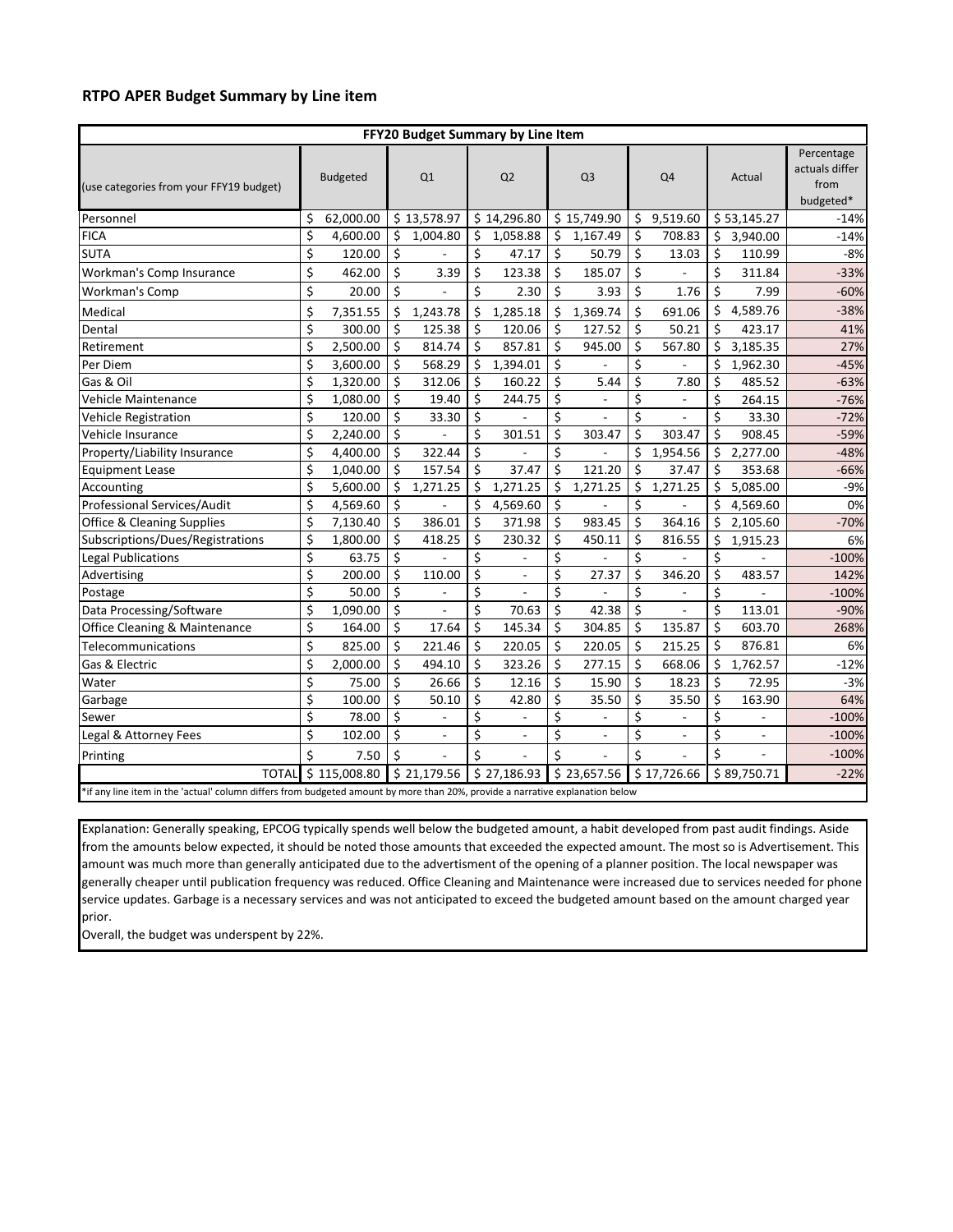#### **RTPO APER Budget Summary by Line item**

| FFY20 Budget Summary by Line Item                                                                                             |    |                 |    |                |                         |                          |         |                |    |              |    |                          |                                                   |
|-------------------------------------------------------------------------------------------------------------------------------|----|-----------------|----|----------------|-------------------------|--------------------------|---------|----------------|----|--------------|----|--------------------------|---------------------------------------------------|
| (use categories from your FFY19 budget)                                                                                       |    | <b>Budgeted</b> |    | Q1             |                         | Q2                       |         | Q <sub>3</sub> |    | Q4           |    | Actual                   | Percentage<br>actuals differ<br>from<br>budgeted* |
| Personnel                                                                                                                     | \$ | 62,000.00       |    | \$13,578.97    |                         | \$14,296.80              |         | \$15,749.90    |    | \$9,519.60   |    | \$53,145.27              | $-14%$                                            |
| <b>FICA</b>                                                                                                                   | \$ | 4,600.00        | Ś. | 1,004.80       | \$                      | 1,058.88                 | Ŝ.      | 1,167.49       | \$ | 708.83       | Ŝ. | 3,940.00                 | $-14%$                                            |
| <b>SUTA</b>                                                                                                                   | \$ | 120.00          | \$ |                | \$                      | 47.17                    | \$      | 50.79          | Ś. | 13.03        | \$ | 110.99                   | $-8%$                                             |
| Workman's Comp Insurance                                                                                                      | \$ | 462.00          | \$ | 3.39           | Ś                       | 123.38                   | Ś.      | 185.07         | Ś  |              | \$ | 311.84                   | $-33%$                                            |
| <b>Workman's Comp</b>                                                                                                         | \$ | 20.00           | \$ |                | \$                      | 2.30                     | \$      | 3.93           | \$ | 1.76         | \$ | 7.99                     | $-60%$                                            |
| Medical                                                                                                                       | \$ | 7,351.55        | \$ | 1,243.78       | \$                      | 1,285.18                 | \$      | 1,369.74       | \$ | 691.06       | \$ | 4,589.76                 | $-38%$                                            |
| Dental                                                                                                                        | \$ | 300.00          | \$ | 125.38         | \$                      | 120.06                   | \$      | 127.52         | \$ | 50.21        | Ś  | 423.17                   | 41%                                               |
| Retirement                                                                                                                    | \$ | 2,500.00        | \$ | 814.74         | \$                      | 857.81                   | \$      | 945.00         | \$ | 567.80       | \$ | 3,185.35                 | 27%                                               |
| Per Diem                                                                                                                      | \$ | 3,600.00        | Ś  | 568.29         | Ś                       | 1,394.01                 | \$      |                | Ś. |              | \$ | 1,962.30                 | $-45%$                                            |
| Gas & Oil                                                                                                                     | \$ | 1,320.00        | \$ | 312.06         | \$                      | 160.22                   | Ś.      | 5.44           | \$ | 7.80         | \$ | 485.52                   | $-63%$                                            |
| Vehicle Maintenance                                                                                                           | \$ | 1,080.00        | \$ | 19.40          | \$                      | 244.75                   | \$      |                | \$ |              | \$ | 264.15                   | $-76%$                                            |
| <b>Vehicle Registration</b>                                                                                                   | \$ | 120.00          | \$ | 33.30          | $\overline{\mathsf{S}}$ |                          | \$      |                | \$ |              | \$ | 33.30                    | $-72%$                                            |
| Vehicle Insurance                                                                                                             | \$ | 2,240.00        | \$ |                | \$                      | 301.51                   | \$      | 303.47         | Ś  | 303.47       | Ś  | 908.45                   | $-59%$                                            |
| Property/Liability Insurance                                                                                                  | \$ | 4,400.00        | \$ | 322.44         | \$                      |                          | \$      |                | \$ | 1,954.56     | \$ | 2,277.00                 | $-48%$                                            |
| <b>Equipment Lease</b>                                                                                                        | \$ | 1,040.00        | Ś  | 157.54         | \$                      | 37.47                    | \$      | 121.20         | \$ | 37.47        | Ś  | 353.68                   | $-66%$                                            |
| Accounting                                                                                                                    | \$ | 5,600.00        | Ś. | 1,271.25       | Ś                       | 1,271.25                 | Ś.      | 1,271.25       | Ś. | 1,271.25     | Ś  | 5,085.00                 | $-9%$                                             |
| Professional Services/Audit                                                                                                   | \$ | 4,569.60        | Ś  |                | Ś                       | 4,569.60                 | \$      |                | Ś  |              | Ś  | 4,569.60                 | 0%                                                |
| <b>Office &amp; Cleaning Supplies</b>                                                                                         | \$ | 7,130.40        | \$ | 386.01         | \$                      | 371.98                   | \$      | 983.45         | \$ | 364.16       | \$ | 2,105.60                 | $-70%$                                            |
| Subscriptions/Dues/Registrations                                                                                              | \$ | 1,800.00        | Ś  | 418.25         | \$                      | 230.32                   | \$      | 450.11         | \$ | 816.55       | \$ | 1,915.23                 | 6%                                                |
| <b>Legal Publications</b>                                                                                                     | \$ | 63.75           | \$ |                | \$                      |                          | \$      |                | \$ |              | \$ |                          | $-100%$                                           |
| Advertising                                                                                                                   | \$ | 200.00          | Ś  | 110.00         | \$                      | $\overline{\phantom{a}}$ | \$      | 27.37          | Ś  | 346.20       | Ś  | 483.57                   | 142%                                              |
| Postage                                                                                                                       | \$ | 50.00           | Ś  |                | $\overline{\xi}$        |                          | \$      |                | Ś  |              | \$ |                          | $-100%$                                           |
| Data Processing/Software                                                                                                      | \$ | 1,090.00        | \$ |                | \$                      | 70.63                    | $\zeta$ | 42.38          | \$ |              | \$ | 113.01                   | $-90%$                                            |
| Office Cleaning & Maintenance                                                                                                 | \$ | 164.00          | \$ | 17.64          | \$                      | 145.34                   | \$      | 304.85         | \$ | 135.87       | Ś. | 603.70                   | 268%                                              |
| Telecommunications                                                                                                            | \$ | 825.00          | Ś. | 221.46         | \$                      | 220.05                   | \$      | 220.05         | Ś  | 215.25       | Ŝ. | 876.81                   | 6%                                                |
| Gas & Electric                                                                                                                | \$ | 2,000.00        | Ś  | 494.10         | Ś.                      | 323.26                   | Ś       | 277.15         | Ś  | 668.06       | Ś  | 1,762.57                 | $-12%$                                            |
| Water                                                                                                                         | \$ | 75.00           | \$ | 26.66          | \$                      | 12.16                    | Ś.      | 15.90          | Ś. | 18.23        | Ś  | 72.95                    | $-3%$                                             |
| Garbage                                                                                                                       | \$ | 100.00          | \$ | 50.10          | \$                      | 42.80                    | \$      | 35.50          | \$ | 35.50        | \$ | 163.90                   | 64%                                               |
| Sewer                                                                                                                         | \$ | 78.00           | \$ |                | \$                      |                          | \$      |                | \$ |              | \$ |                          | $-100%$                                           |
| Legal & Attorney Fees                                                                                                         | \$ | 102.00          | Ś. | $\overline{a}$ | Ś                       | $\overline{a}$           | \$      | $\overline{a}$ | Ś. | $\mathbf{r}$ | \$ | $\overline{\phantom{a}}$ | $-100%$                                           |
| Printing                                                                                                                      | \$ | 7.50            | \$ |                | Ś                       |                          | \$      |                | Ś  |              | \$ |                          | $-100%$                                           |
| <b>TOTAL</b>                                                                                                                  |    | \$115,008.80    |    | \$21,179.56    |                         | \$27,186.93              |         | \$23,657.56    |    | \$17,726.66  |    | \$89,750.71              | $-22%$                                            |
| *if any line item in the 'actual' column differs from budgeted amount by more than 20%, provide a narrative explanation below |    |                 |    |                |                         |                          |         |                |    |              |    |                          |                                                   |

Explanation: Generally speaking, EPCOG typically spends well below the budgeted amount, a habit developed from past audit findings. Aside from the amounts below expected, it should be noted those amounts that exceeded the expected amount. The most so is Advertisement. This amount was much more than generally anticipated due to the advertisment of the opening of a planner position. The local newspaper was generally cheaper until publication frequency was reduced. Office Cleaning and Maintenance were increased due to services needed for phone service updates. Garbage is a necessary services and was not anticipated to exceed the budgeted amount based on the amount charged year prior.

Overall, the budget was underspent by 22%.